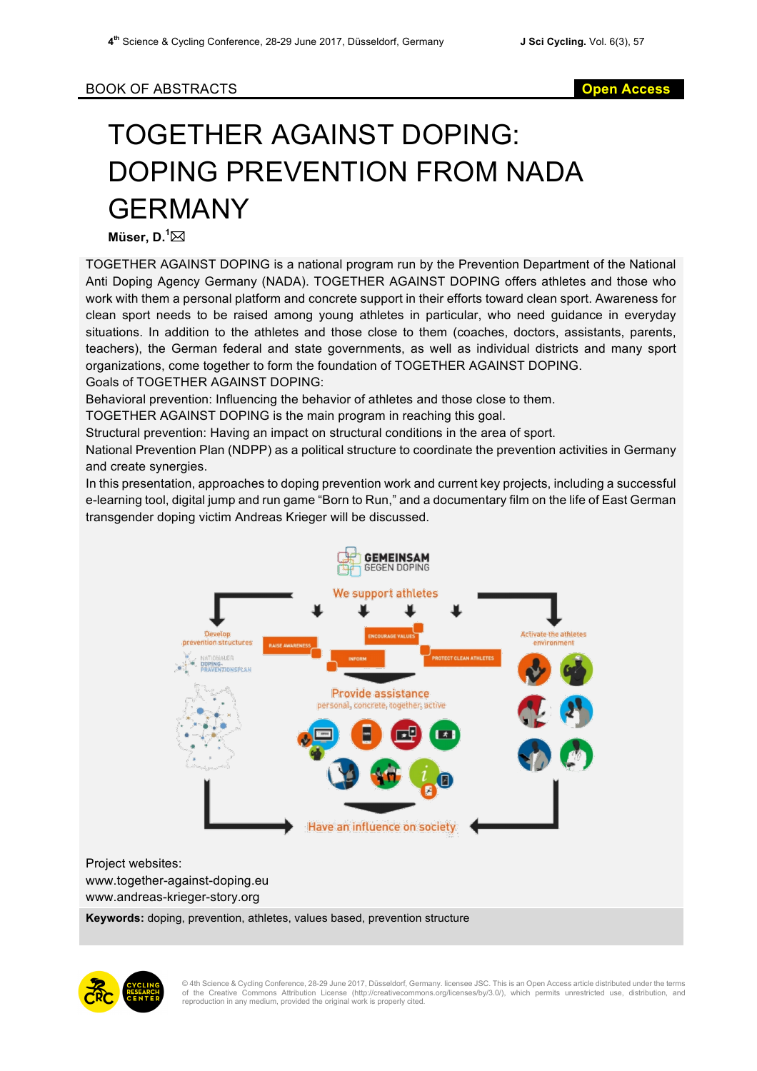## TOGETHER AGAINST DOPING: DOPING PREVENTION FROM NADA GERMANY

**Müser, D.<sup>1</sup>⊠** 

TOGETHER AGAINST DOPING is a national program run by the Prevention Department of the National Anti Doping Agency Germany (NADA). TOGETHER AGAINST DOPING offers athletes and those who work with them a personal platform and concrete support in their efforts toward clean sport. Awareness for clean sport needs to be raised among young athletes in particular, who need guidance in everyday situations. In addition to the athletes and those close to them (coaches, doctors, assistants, parents, teachers), the German federal and state governments, as well as individual districts and many sport organizations, come together to form the foundation of TOGETHER AGAINST DOPING. Goals of TOGETHER AGAINST DOPING:

Behavioral prevention: Influencing the behavior of athletes and those close to them.

TOGETHER AGAINST DOPING is the main program in reaching this goal.

Structural prevention: Having an impact on structural conditions in the area of sport.

National Prevention Plan (NDPP) as a political structure to coordinate the prevention activities in Germany and create synergies.

In this presentation, approaches to doping prevention work and current key projects, including a successful e-learning tool, digital jump and run game "Born to Run," and a documentary film on the life of East German transgender doping victim Andreas Krieger will be discussed.





© 4th Science & Cycling Conference, 28-29 June 2017, Düsseldorf, Germany. licensee JSC. This is an Open Access article distributed under the terms<br>of the Creative Commons Attribution License (http://creativecommons.o reproduction in any medium, provided the original work is properly cited.